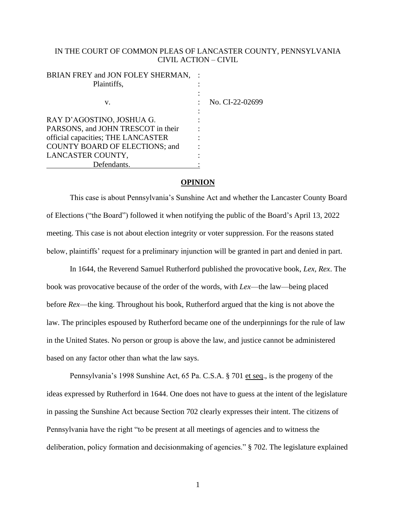# IN THE COURT OF COMMON PLEAS OF LANCASTER COUNTY, PENNSYLVANIA CIVIL ACTION – CIVIL

| BRIAN FREY and JON FOLEY SHERMAN,<br>Plaintiffs, |                 |
|--------------------------------------------------|-----------------|
| V.                                               | No. CI-22-02699 |
| RAY D'AGOSTINO, JOSHUA G.                        |                 |
| PARSONS, and JOHN TRESCOT in their               |                 |
| official capacities; THE LANCASTER               |                 |
| <b>COUNTY BOARD OF ELECTIONS; and</b>            |                 |
| LANCASTER COUNTY,                                |                 |
| Defendants.                                      |                 |

# **OPINION**

This case is about Pennsylvania's Sunshine Act and whether the Lancaster County Board of Elections ("the Board") followed it when notifying the public of the Board's April 13, 2022 meeting. This case is not about election integrity or voter suppression. For the reasons stated below, plaintiffs' request for a preliminary injunction will be granted in part and denied in part.

In 1644, the Reverend Samuel Rutherford published the provocative book, *Lex, Rex*. The book was provocative because of the order of the words, with *Lex*—the law—being placed before *Rex*—the king. Throughout his book, Rutherford argued that the king is not above the law. The principles espoused by Rutherford became one of the underpinnings for the rule of law in the United States. No person or group is above the law, and justice cannot be administered based on any factor other than what the law says.

Pennsylvania's 1998 Sunshine Act, 65 Pa. C.S.A. § 701 et seq., is the progeny of the ideas expressed by Rutherford in 1644. One does not have to guess at the intent of the legislature in passing the Sunshine Act because Section 702 clearly expresses their intent. The citizens of Pennsylvania have the right "to be present at all meetings of agencies and to witness the deliberation, policy formation and decisionmaking of agencies." § 702. The legislature explained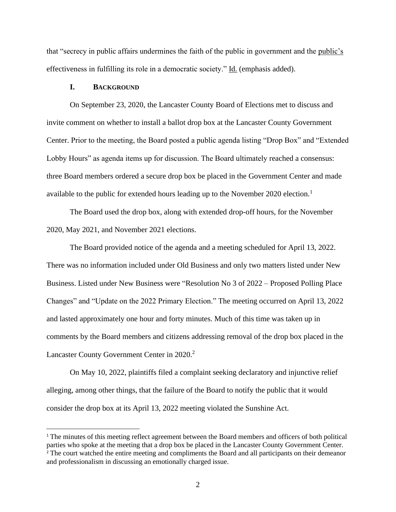that "secrecy in public affairs undermines the faith of the public in government and the public's effectiveness in fulfilling its role in a democratic society." Id. (emphasis added).

### **I. BACKGROUND**

On September 23, 2020, the Lancaster County Board of Elections met to discuss and invite comment on whether to install a ballot drop box at the Lancaster County Government Center. Prior to the meeting, the Board posted a public agenda listing "Drop Box" and "Extended Lobby Hours" as agenda items up for discussion. The Board ultimately reached a consensus: three Board members ordered a secure drop box be placed in the Government Center and made available to the public for extended hours leading up to the November 2020 election.<sup>1</sup>

The Board used the drop box, along with extended drop-off hours, for the November 2020, May 2021, and November 2021 elections.

The Board provided notice of the agenda and a meeting scheduled for April 13, 2022. There was no information included under Old Business and only two matters listed under New Business. Listed under New Business were "Resolution No 3 of 2022 – Proposed Polling Place Changes" and "Update on the 2022 Primary Election." The meeting occurred on April 13, 2022 and lasted approximately one hour and forty minutes. Much of this time was taken up in comments by the Board members and citizens addressing removal of the drop box placed in the Lancaster County Government Center in 2020.<sup>2</sup>

On May 10, 2022, plaintiffs filed a complaint seeking declaratory and injunctive relief alleging, among other things, that the failure of the Board to notify the public that it would consider the drop box at its April 13, 2022 meeting violated the Sunshine Act.

<sup>1</sup> The minutes of this meeting reflect agreement between the Board members and officers of both political parties who spoke at the meeting that a drop box be placed in the Lancaster County Government Center. <sup>2</sup> The court watched the entire meeting and compliments the Board and all participants on their demeanor and professionalism in discussing an emotionally charged issue.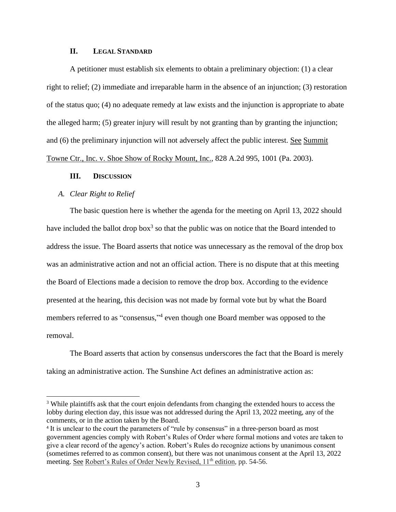# **II. LEGAL STANDARD**

A petitioner must establish six elements to obtain a preliminary objection: (1) a clear right to relief; (2) immediate and irreparable harm in the absence of an injunction; (3) restoration of the status quo; (4) no adequate remedy at law exists and the injunction is appropriate to abate the alleged harm; (5) greater injury will result by not granting than by granting the injunction; and (6) the preliminary injunction will not adversely affect the public interest. See Summit Towne Ctr., Inc. v. Shoe Show of Rocky Mount, Inc., 828 A.2d 995, 1001 (Pa. 2003).

#### **III. DISCUSSION**

#### *A. Clear Right to Relief*

The basic question here is whether the agenda for the meeting on April 13, 2022 should have included the ballot drop box<sup>3</sup> so that the public was on notice that the Board intended to address the issue. The Board asserts that notice was unnecessary as the removal of the drop box was an administrative action and not an official action. There is no dispute that at this meeting the Board of Elections made a decision to remove the drop box. According to the evidence presented at the hearing, this decision was not made by formal vote but by what the Board members referred to as "consensus,"<sup>4</sup> even though one Board member was opposed to the removal.

The Board asserts that action by consensus underscores the fact that the Board is merely taking an administrative action. The Sunshine Act defines an administrative action as:

<sup>&</sup>lt;sup>3</sup> While plaintiffs ask that the court enjoin defendants from changing the extended hours to access the lobby during election day, this issue was not addressed during the April 13, 2022 meeting, any of the comments, or in the action taken by the Board.

<sup>&</sup>lt;sup>4</sup> It is unclear to the court the parameters of "rule by consensus" in a three-person board as most government agencies comply with Robert's Rules of Order where formal motions and votes are taken to give a clear record of the agency's action. Robert's Rules do recognize actions by unanimous consent (sometimes referred to as common consent), but there was not unanimous consent at the April 13, 2022 meeting. See Robert's Rules of Order Newly Revised, 11<sup>th</sup> edition, pp. 54-56.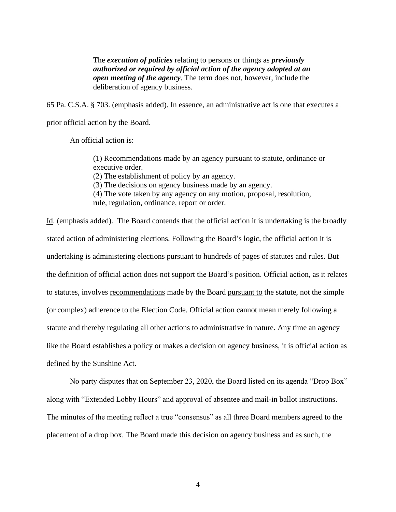The *execution of policies* relating to persons or things as *previously authorized or required by official action of the agency adopted at an open meeting of the agency*. The term does not, however, include the deliberation of agency business.

65 Pa. C.S.A. § 703. (emphasis added). In essence, an administrative act is one that executes a prior official action by the Board.

An official action is:

(1) Recommendations made by an agency pursuant to statute, ordinance or executive order.

(2) The establishment of policy by an agency.

(3) The decisions on agency business made by an agency.

(4) The vote taken by any agency on any motion, proposal, resolution,

rule, regulation, ordinance, report or order.

Id. (emphasis added). The Board contends that the official action it is undertaking is the broadly stated action of administering elections. Following the Board's logic, the official action it is undertaking is administering elections pursuant to hundreds of pages of statutes and rules. But the definition of official action does not support the Board's position. Official action, as it relates to statutes, involves recommendations made by the Board pursuant to the statute, not the simple (or complex) adherence to the Election Code. Official action cannot mean merely following a statute and thereby regulating all other actions to administrative in nature. Any time an agency like the Board establishes a policy or makes a decision on agency business, it is official action as defined by the Sunshine Act.

No party disputes that on September 23, 2020, the Board listed on its agenda "Drop Box" along with "Extended Lobby Hours" and approval of absentee and mail-in ballot instructions. The minutes of the meeting reflect a true "consensus" as all three Board members agreed to the placement of a drop box. The Board made this decision on agency business and as such, the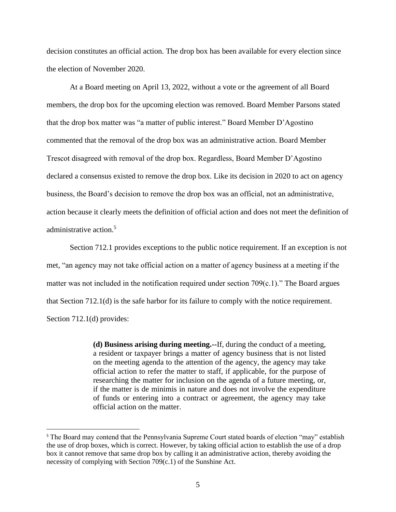decision constitutes an official action. The drop box has been available for every election since the election of November 2020.

At a Board meeting on April 13, 2022, without a vote or the agreement of all Board members, the drop box for the upcoming election was removed. Board Member Parsons stated that the drop box matter was "a matter of public interest." Board Member D'Agostino commented that the removal of the drop box was an administrative action. Board Member Trescot disagreed with removal of the drop box. Regardless, Board Member D'Agostino declared a consensus existed to remove the drop box. Like its decision in 2020 to act on agency business, the Board's decision to remove the drop box was an official, not an administrative, action because it clearly meets the definition of official action and does not meet the definition of administrative action.<sup>5</sup>

Section 712.1 provides exceptions to the public notice requirement. If an exception is not met, "an agency may not take official action on a matter of agency business at a meeting if the matter was not included in the notification required under section 709(c.1)." The Board argues that Section 712.1(d) is the safe harbor for its failure to comply with the notice requirement. Section 712.1(d) provides:

> **(d) Business arising during meeting.--**If, during the conduct of a meeting, a resident or taxpayer brings a matter of agency business that is not listed on the meeting agenda to the attention of the agency, the agency may take official action to refer the matter to staff, if applicable, for the purpose of researching the matter for inclusion on the agenda of a future meeting, or, if the matter is de minimis in nature and does not involve the expenditure of funds or entering into a contract or agreement, the agency may take official action on the matter.

<sup>5</sup> The Board may contend that the Pennsylvania Supreme Court stated boards of election "may" establish the use of drop boxes, which is correct. However, by taking official action to establish the use of a drop box it cannot remove that same drop box by calling it an administrative action, thereby avoiding the necessity of complying with Section 709(c.1) of the Sunshine Act.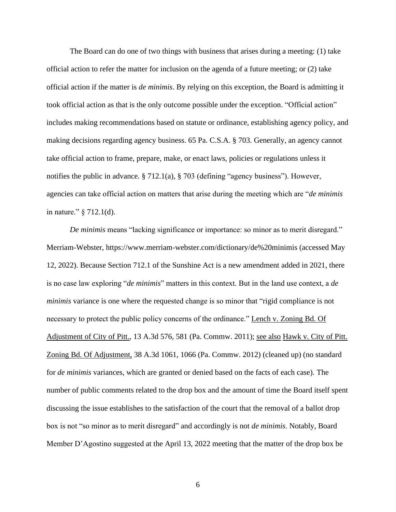The Board can do one of two things with business that arises during a meeting: (1) take official action to refer the matter for inclusion on the agenda of a future meeting; or (2) take official action if the matter is *de minimis*. By relying on this exception, the Board is admitting it took official action as that is the only outcome possible under the exception. "Official action" includes making recommendations based on statute or ordinance, establishing agency policy, and making decisions regarding agency business. 65 Pa. C.S.A. § 703. Generally, an agency cannot take official action to frame, prepare, make, or enact laws, policies or regulations unless it notifies the public in advance. § 712.1(a), § 703 (defining "agency business"). However, agencies can take official action on matters that arise during the meeting which are "*de minimis* in nature." § 712.1(d).

*De minimis* means "lacking significance or importance: so minor as to merit disregard." Merriam-Webster, https://www.merriam-webster.com/dictionary/de%20minimis (accessed May 12, 2022). Because Section 712.1 of the Sunshine Act is a new amendment added in 2021, there is no case law exploring "*de minimis*" matters in this context. But in the land use context, a *de minimis* variance is one where the requested change is so minor that "rigid compliance is not necessary to protect the public policy concerns of the ordinance." Lench v. Zoning Bd. Of Adjustment of City of Pitt., 13 A.3d 576, 581 (Pa. Commw. 2011); see also Hawk v. City of Pitt. Zoning Bd. Of Adjustment, 38 A.3d 1061, 1066 (Pa. Commw. 2012) (cleaned up) (no standard for *de minimis* variances, which are granted or denied based on the facts of each case). The number of public comments related to the drop box and the amount of time the Board itself spent discussing the issue establishes to the satisfaction of the court that the removal of a ballot drop box is not "so minor as to merit disregard" and accordingly is not *de minimis*. Notably, Board Member D'Agostino suggested at the April 13, 2022 meeting that the matter of the drop box be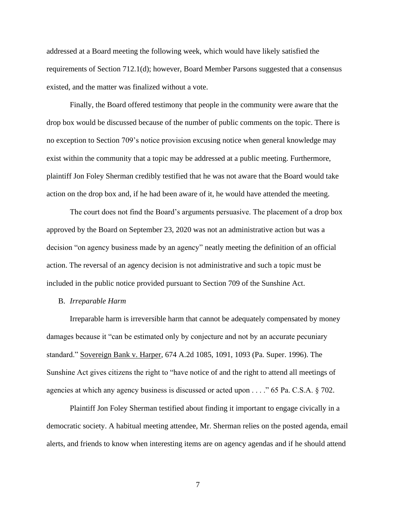addressed at a Board meeting the following week, which would have likely satisfied the requirements of Section 712.1(d); however, Board Member Parsons suggested that a consensus existed, and the matter was finalized without a vote.

Finally, the Board offered testimony that people in the community were aware that the drop box would be discussed because of the number of public comments on the topic. There is no exception to Section 709's notice provision excusing notice when general knowledge may exist within the community that a topic may be addressed at a public meeting. Furthermore, plaintiff Jon Foley Sherman credibly testified that he was not aware that the Board would take action on the drop box and, if he had been aware of it, he would have attended the meeting.

The court does not find the Board's arguments persuasive. The placement of a drop box approved by the Board on September 23, 2020 was not an administrative action but was a decision "on agency business made by an agency" neatly meeting the definition of an official action. The reversal of an agency decision is not administrative and such a topic must be included in the public notice provided pursuant to Section 709 of the Sunshine Act.

#### B. *Irreparable Harm*

Irreparable harm is irreversible harm that cannot be adequately compensated by money damages because it "can be estimated only by conjecture and not by an accurate pecuniary standard." Sovereign Bank v. Harper, 674 A.2d 1085, 1091, 1093 (Pa. Super. 1996). The Sunshine Act gives citizens the right to "have notice of and the right to attend all meetings of agencies at which any agency business is discussed or acted upon . . . ." 65 Pa. C.S.A. § 702.

Plaintiff Jon Foley Sherman testified about finding it important to engage civically in a democratic society. A habitual meeting attendee, Mr. Sherman relies on the posted agenda, email alerts, and friends to know when interesting items are on agency agendas and if he should attend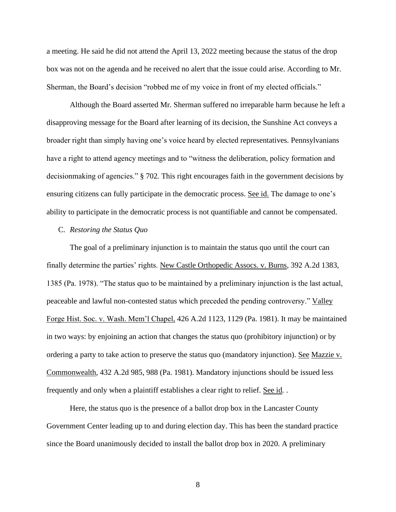a meeting. He said he did not attend the April 13, 2022 meeting because the status of the drop box was not on the agenda and he received no alert that the issue could arise. According to Mr. Sherman, the Board's decision "robbed me of my voice in front of my elected officials."

Although the Board asserted Mr. Sherman suffered no irreparable harm because he left a disapproving message for the Board after learning of its decision, the Sunshine Act conveys a broader right than simply having one's voice heard by elected representatives. Pennsylvanians have a right to attend agency meetings and to "witness the deliberation, policy formation and decisionmaking of agencies." § 702*.* This right encourages faith in the government decisions by ensuring citizens can fully participate in the democratic process. See id. The damage to one's ability to participate in the democratic process is not quantifiable and cannot be compensated.

#### C. *Restoring the Status Quo*

The goal of a preliminary injunction is to maintain the status quo until the court can finally determine the parties' rights. New Castle Orthopedic Assocs. v. Burns, 392 A.2d 1383, 1385 (Pa. 1978). "The status quo to be maintained by a preliminary injunction is the last actual, peaceable and lawful non-contested status which preceded the pending controversy." Valley Forge Hist. Soc. v. Wash. Mem'l Chapel, 426 A.2d 1123, 1129 (Pa. 1981). It may be maintained in two ways: by enjoining an action that changes the status quo (prohibitory injunction) or by ordering a party to take action to preserve the status quo (mandatory injunction). See Mazzie v. Commonwealth, 432 A.2d 985, 988 (Pa. 1981). Mandatory injunctions should be issued less frequently and only when a plaintiff establishes a clear right to relief. See id*.* .

Here, the status quo is the presence of a ballot drop box in the Lancaster County Government Center leading up to and during election day. This has been the standard practice since the Board unanimously decided to install the ballot drop box in 2020. A preliminary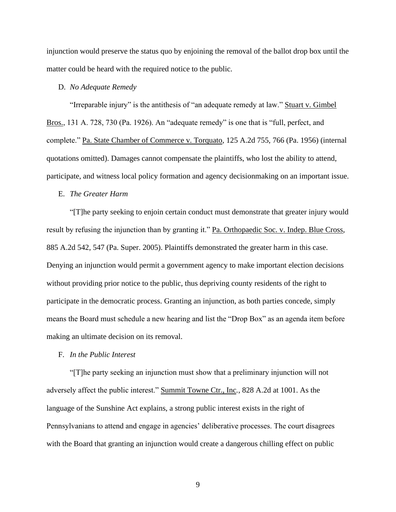injunction would preserve the status quo by enjoining the removal of the ballot drop box until the matter could be heard with the required notice to the public.

### D. *No Adequate Remedy*

"Irreparable injury" is the antithesis of "an adequate remedy at law." Stuart v. Gimbel Bros., 131 A. 728, 730 (Pa. 1926). An "adequate remedy" is one that is "full, perfect, and complete." Pa. State Chamber of Commerce v. Torquato, 125 A.2d 755, 766 (Pa. 1956) (internal quotations omitted). Damages cannot compensate the plaintiffs, who lost the ability to attend, participate, and witness local policy formation and agency decisionmaking on an important issue.

### E. *The Greater Harm*

"[T]he party seeking to enjoin certain conduct must demonstrate that greater injury would result by refusing the injunction than by granting it." Pa. Orthopaedic Soc. v. Indep. Blue Cross, 885 A.2d 542, 547 (Pa. Super. 2005). Plaintiffs demonstrated the greater harm in this case. Denying an injunction would permit a government agency to make important election decisions without providing prior notice to the public, thus depriving county residents of the right to participate in the democratic process. Granting an injunction, as both parties concede, simply means the Board must schedule a new hearing and list the "Drop Box" as an agenda item before making an ultimate decision on its removal.

#### F. *In the Public Interest*

"[T]he party seeking an injunction must show that a preliminary injunction will not adversely affect the public interest." Summit Towne Ctr., Inc*.*, 828 A.2d at 1001. As the language of the Sunshine Act explains, a strong public interest exists in the right of Pennsylvanians to attend and engage in agencies' deliberative processes. The court disagrees with the Board that granting an injunction would create a dangerous chilling effect on public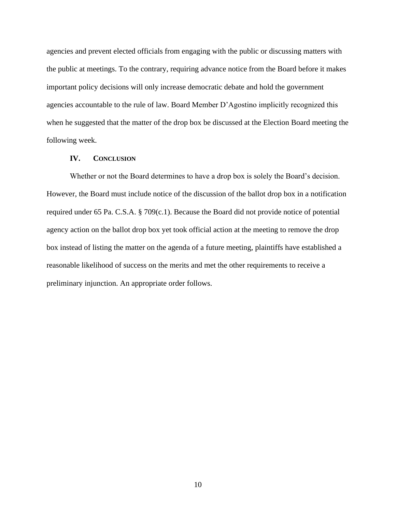agencies and prevent elected officials from engaging with the public or discussing matters with the public at meetings. To the contrary, requiring advance notice from the Board before it makes important policy decisions will only increase democratic debate and hold the government agencies accountable to the rule of law. Board Member D'Agostino implicitly recognized this when he suggested that the matter of the drop box be discussed at the Election Board meeting the following week.

# **IV. CONCLUSION**

Whether or not the Board determines to have a drop box is solely the Board's decision. However, the Board must include notice of the discussion of the ballot drop box in a notification required under 65 Pa. C.S.A. § 709(c.1). Because the Board did not provide notice of potential agency action on the ballot drop box yet took official action at the meeting to remove the drop box instead of listing the matter on the agenda of a future meeting, plaintiffs have established a reasonable likelihood of success on the merits and met the other requirements to receive a preliminary injunction. An appropriate order follows.